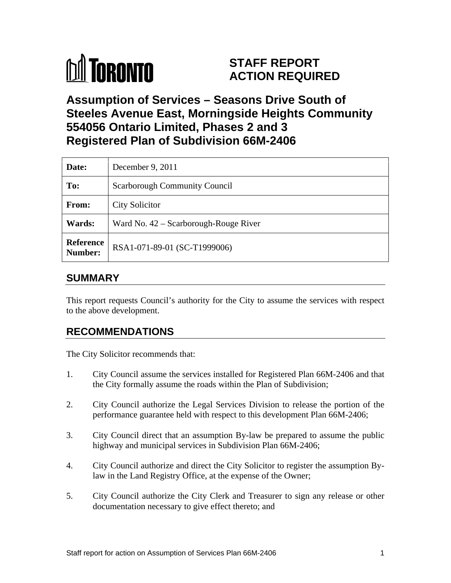# **M** TORONTO

# **STAFF REPORT ACTION REQUIRED**

# **Assumption of Services – Seasons Drive South of Steeles Avenue East, Morningside Heights Community 554056 Ontario Limited, Phases 2 and 3 Registered Plan of Subdivision 66M-2406**

| Date:         | December 9, 2011                              |
|---------------|-----------------------------------------------|
| To:           | Scarborough Community Council                 |
| From:         | <b>City Solicitor</b>                         |
| <b>Wards:</b> | Ward No. 42 – Scarborough-Rouge River         |
|               | <b>Reference</b> RSA1-071-89-01 (SC-T1999006) |

# **SUMMARY**

This report requests Council's authority for the City to assume the services with respect to the above development.

## **RECOMMENDATIONS**

The City Solicitor recommends that:

- 1. City Council assume the services installed for Registered Plan 66M-2406 and that the City formally assume the roads within the Plan of Subdivision;
- 2. City Council authorize the Legal Services Division to release the portion of the performance guarantee held with respect to this development Plan 66M-2406;
- 3. City Council direct that an assumption By-law be prepared to assume the public highway and municipal services in Subdivision Plan 66M-2406;
- 4. City Council authorize and direct the City Solicitor to register the assumption Bylaw in the Land Registry Office, at the expense of the Owner;
- 5. City Council authorize the City Clerk and Treasurer to sign any release or other documentation necessary to give effect thereto; and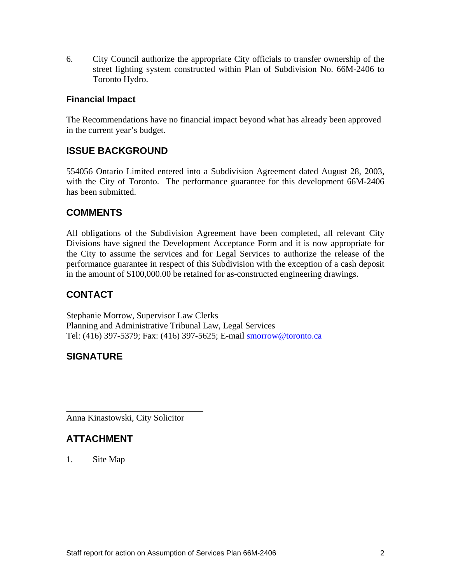6. City Council authorize the appropriate City officials to transfer ownership of the street lighting system constructed within Plan of Subdivision No. 66M-2406 to Toronto Hydro.

#### **Financial Impact**

The Recommendations have no financial impact beyond what has already been approved in the current year's budget.

#### **ISSUE BACKGROUND**

<sup>554056</sup> Ontario Limited entered into <sup>a</sup> Subdivision Agreement dated August 28, 2003, with the City of Toronto. The performance guarantee for this development 66M-2406 has been submitted.

#### **COMMENTS**

All obligations of the Subdivision Agreement have been completed, all relevant City Divisions have signed the Development Acceptance Form and it is now appropriate for the City to assume the services and for Legal Services to authorize the release of the performance guarantee in respect of this Subdivision with the exception of acash deposit in the amount of \$100,000.00 be retained for as-constructed engineering drawings.

## **CONTACT**

Stephanie Morrow, Supervisor Law Clerks Planning and Administrative Tribunal Law, Legal Services Tel: (416) 397-5379; Fax: (416) 397-5625; E-mail smorrow@toronto.ca

#### **SIGNATURE**

Anna Kinastowski, City Solicitor

## **ATTACHMENT**

1. Site Map

 $\overline{\phantom{a}}$  , we can assume that the contract of  $\overline{\phantom{a}}$  , we can assume that the contract of  $\overline{\phantom{a}}$